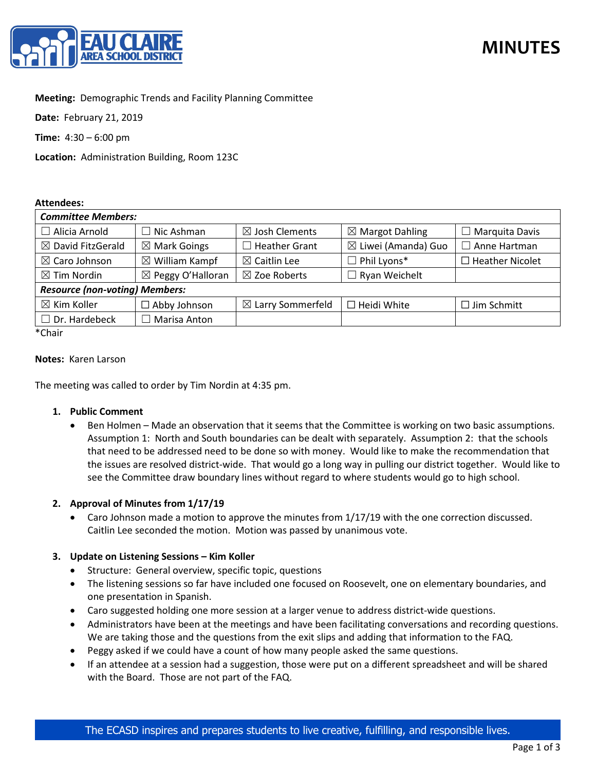

## **Meeting:** Demographic Trends and Facility Planning Committee

**Date:** February 21, 2019

**Time:** 4:30 – 6:00 pm

**Location:** Administration Building, Room 123C

#### **Attendees:**

| <b>Committee Members:</b>             |                              |                              |                                |                        |
|---------------------------------------|------------------------------|------------------------------|--------------------------------|------------------------|
| $\Box$ Alicia Arnold                  | $\Box$ Nic Ashman            | $\boxtimes$ Josh Clements    | $\boxtimes$ Margot Dahling     | $\Box$ Marquita Davis  |
| $\boxtimes$ David FitzGerald          | $\boxtimes$ Mark Goings      | <b>Heather Grant</b>         | $\boxtimes$ Liwei (Amanda) Guo | $\Box$ Anne Hartman    |
| $\boxtimes$ Caro Johnson              | $\boxtimes$ William Kampf    | $\boxtimes$ Caitlin Lee      | $\Box$ Phil Lyons*             | $\Box$ Heather Nicolet |
| $\boxtimes$ Tim Nordin                | $\boxtimes$ Peggy O'Halloran | $\boxtimes$ Zoe Roberts      | $\Box$ Ryan Weichelt           |                        |
| <b>Resource (non-voting) Members:</b> |                              |                              |                                |                        |
| $\boxtimes$ Kim Koller                | $\Box$ Abby Johnson          | $\boxtimes$ Larry Sommerfeld | $\Box$ Heidi White             | $\Box$ Jim Schmitt     |
| $\Box$ Dr. Hardebeck                  | $\Box$ Marisa Anton          |                              |                                |                        |

\*Chair

#### **Notes:** Karen Larson

The meeting was called to order by Tim Nordin at 4:35 pm.

#### **1. Public Comment**

• Ben Holmen – Made an observation that it seems that the Committee is working on two basic assumptions. Assumption 1: North and South boundaries can be dealt with separately. Assumption 2: that the schools that need to be addressed need to be done so with money. Would like to make the recommendation that the issues are resolved district-wide. That would go a long way in pulling our district together. Would like to see the Committee draw boundary lines without regard to where students would go to high school.

#### **2. Approval of Minutes from 1/17/19**

• Caro Johnson made a motion to approve the minutes from 1/17/19 with the one correction discussed. Caitlin Lee seconded the motion. Motion was passed by unanimous vote.

#### **3. Update on Listening Sessions – Kim Koller**

- Structure: General overview, specific topic, questions
- The listening sessions so far have included one focused on Roosevelt, one on elementary boundaries, and one presentation in Spanish.
- Caro suggested holding one more session at a larger venue to address district-wide questions.
- Administrators have been at the meetings and have been facilitating conversations and recording questions. We are taking those and the questions from the exit slips and adding that information to the FAQ.
- Peggy asked if we could have a count of how many people asked the same questions.
- If an attendee at a session had a suggestion, those were put on a different spreadsheet and will be shared with the Board. Those are not part of the FAQ.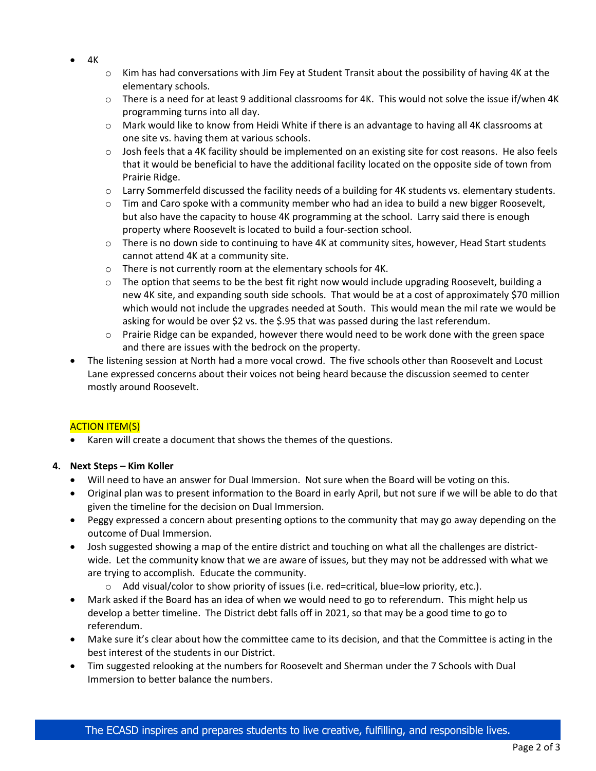- 4K
- $\circ$  Kim has had conversations with Jim Fey at Student Transit about the possibility of having 4K at the elementary schools.
- $\circ$  There is a need for at least 9 additional classrooms for 4K. This would not solve the issue if/when 4K programming turns into all day.
- o Mark would like to know from Heidi White if there is an advantage to having all 4K classrooms at one site vs. having them at various schools.
- $\circ$  Josh feels that a 4K facility should be implemented on an existing site for cost reasons. He also feels that it would be beneficial to have the additional facility located on the opposite side of town from Prairie Ridge.
- o Larry Sommerfeld discussed the facility needs of a building for 4K students vs. elementary students.
- $\circ$  Tim and Caro spoke with a community member who had an idea to build a new bigger Roosevelt, but also have the capacity to house 4K programming at the school. Larry said there is enough property where Roosevelt is located to build a four-section school.
- o There is no down side to continuing to have 4K at community sites, however, Head Start students cannot attend 4K at a community site.
- o There is not currently room at the elementary schools for 4K.
- $\circ$  The option that seems to be the best fit right now would include upgrading Roosevelt, building a new 4K site, and expanding south side schools. That would be at a cost of approximately \$70 million which would not include the upgrades needed at South. This would mean the mil rate we would be asking for would be over \$2 vs. the \$.95 that was passed during the last referendum.
- $\circ$  Prairie Ridge can be expanded, however there would need to be work done with the green space and there are issues with the bedrock on the property.
- The listening session at North had a more vocal crowd. The five schools other than Roosevelt and Locust Lane expressed concerns about their voices not being heard because the discussion seemed to center mostly around Roosevelt.

# ACTION ITEM(S)

• Karen will create a document that shows the themes of the questions.

# **4. Next Steps – Kim Koller**

- Will need to have an answer for Dual Immersion. Not sure when the Board will be voting on this.
- Original plan was to present information to the Board in early April, but not sure if we will be able to do that given the timeline for the decision on Dual Immersion.
- Peggy expressed a concern about presenting options to the community that may go away depending on the outcome of Dual Immersion.
- Josh suggested showing a map of the entire district and touching on what all the challenges are districtwide. Let the community know that we are aware of issues, but they may not be addressed with what we are trying to accomplish. Educate the community.
	- o Add visual/color to show priority of issues (i.e. red=critical, blue=low priority, etc.).
- Mark asked if the Board has an idea of when we would need to go to referendum. This might help us develop a better timeline. The District debt falls off in 2021, so that may be a good time to go to referendum.
- Make sure it's clear about how the committee came to its decision, and that the Committee is acting in the best interest of the students in our District.
- Tim suggested relooking at the numbers for Roosevelt and Sherman under the 7 Schools with Dual Immersion to better balance the numbers.